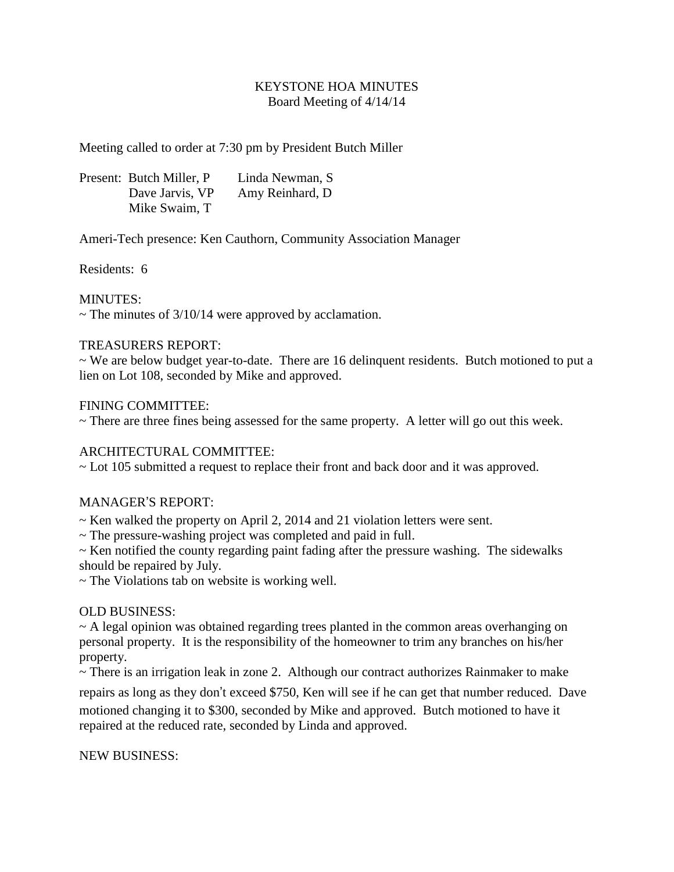### KEYSTONE HOA MINUTES Board Meeting of 4/14/14

Meeting called to order at 7:30 pm by President Butch Miller

Present: Butch Miller, P Linda Newman, S Dave Jarvis, VP Amy Reinhard, D Mike Swaim, T

Ameri-Tech presence: Ken Cauthorn, Community Association Manager

Residents: 6

### MINUTES:

 $\sim$  The minutes of 3/10/14 were approved by acclamation.

### TREASURERS REPORT:

~ We are below budget year-to-date. There are 16 delinquent residents. Butch motioned to put a lien on Lot 108, seconded by Mike and approved.

### FINING COMMITTEE:

 $\sim$  There are three fines being assessed for the same property. A letter will go out this week.

# ARCHITECTURAL COMMITTEE:

~ Lot 105 submitted a request to replace their front and back door and it was approved.

# MANAGER'S REPORT:

~ Ken walked the property on April 2, 2014 and 21 violation letters were sent.

~ The pressure-washing project was completed and paid in full.

~ Ken notified the county regarding paint fading after the pressure washing. The sidewalks should be repaired by July.

~ The Violations tab on website is working well.

#### OLD BUSINESS:

 $\sim$  A legal opinion was obtained regarding trees planted in the common areas overhanging on personal property. It is the responsibility of the homeowner to trim any branches on his/her property.

~ There is an irrigation leak in zone 2. Although our contract authorizes Rainmaker to make

repairs as long as they don't exceed \$750, Ken will see if he can get that number reduced. Dave motioned changing it to \$300, seconded by Mike and approved. Butch motioned to have it repaired at the reduced rate, seconded by Linda and approved.

NEW BUSINESS: